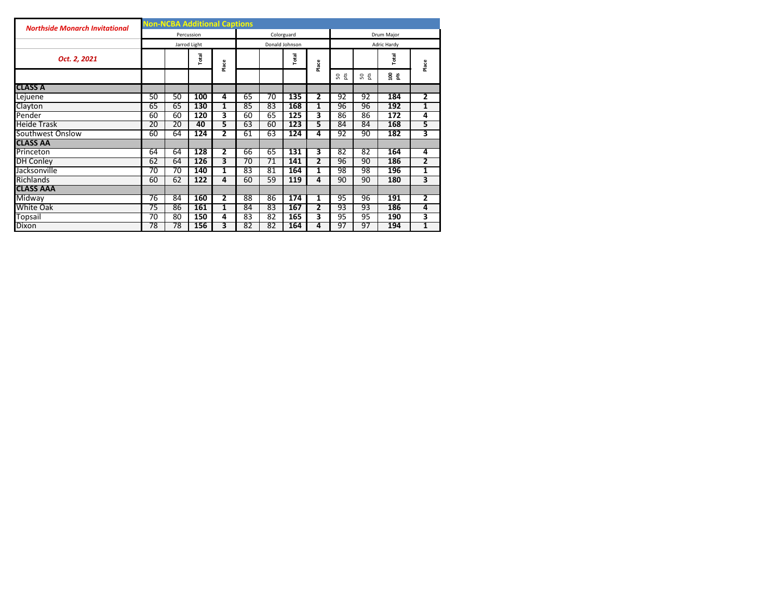| <b>Northside Monarch Invitational</b> | <b>Non-NCBA Additional Captions</b> |    |              |                |                 |                 |                |                |                   |     |                     |                         |  |  |  |  |  |
|---------------------------------------|-------------------------------------|----|--------------|----------------|-----------------|-----------------|----------------|----------------|-------------------|-----|---------------------|-------------------------|--|--|--|--|--|
|                                       |                                     |    | Percussion   |                |                 |                 | Colorguard     |                | <b>Drum Maior</b> |     |                     |                         |  |  |  |  |  |
|                                       |                                     |    | Jarrod Light |                |                 |                 | Donald Johnson |                | Adric Hardy       |     |                     |                         |  |  |  |  |  |
| Oct. 2, 2021                          |                                     |    | Total        | Place          |                 |                 | Total          | Place          |                   |     | Total               | Place                   |  |  |  |  |  |
|                                       |                                     |    |              |                |                 |                 |                |                | S 5<br>3          | S g | $\frac{8}{10}$<br>뷴 |                         |  |  |  |  |  |
| <b>CLASS A</b>                        |                                     |    |              |                |                 |                 |                |                |                   |     |                     |                         |  |  |  |  |  |
| Lejuene                               | 50                                  | 50 | 100          | 4              | 65              | $\overline{70}$ | 135            | $\overline{2}$ | 92                | 92  | 184                 | $\overline{2}$          |  |  |  |  |  |
| Clayton                               | 65                                  | 65 | 130          | $\mathbf{1}$   | 85              | 83              | 168            | 1              | 96                | 96  | 192                 | 1                       |  |  |  |  |  |
| Pender                                | 60                                  | 60 | 120          | 3              | 60              | 65              | 125            | 3              | 86                | 86  | $\overline{172}$    | 4                       |  |  |  |  |  |
| <b>Heide Trask</b>                    | 20                                  | 20 | 40           | 5              | 63              | 60              | 123            | 5              | 84                | 84  | 168                 | 5                       |  |  |  |  |  |
| Southwest Onslow                      | 60                                  | 64 | 124          | 2              | 61              | 63              | 124            | 4              | 92                | 90  | 182                 | 3                       |  |  |  |  |  |
| <b>CLASS AA</b>                       |                                     |    |              |                |                 |                 |                |                |                   |     |                     |                         |  |  |  |  |  |
| Princeton                             | 64                                  | 64 | 128          | 2              | 66              | 65              | 131            | 3              | 82                | 82  | 164                 | 4                       |  |  |  |  |  |
| <b>DH Conley</b>                      | 62                                  | 64 | 126          | 3              | $\overline{70}$ | 71              | 141            | $\mathbf{2}$   | 96                | 90  | 186                 | $\mathbf{2}$            |  |  |  |  |  |
| Jacksonville                          | 70                                  | 70 | 140          | 1              | 83              | 81              | 164            | 1              | 98                | 98  | 196                 | 1                       |  |  |  |  |  |
| Richlands                             | 60                                  | 62 | 122          | 4              | 60              | 59              | 119            | 4              | 90                | 90  | 180                 | 3                       |  |  |  |  |  |
| <b>CLASS AAA</b>                      |                                     |    |              |                |                 |                 |                |                |                   |     |                     |                         |  |  |  |  |  |
| Midway                                | 76                                  | 84 | 160          | $\overline{2}$ | 88              | 86              | 174            | 1              | 95                | 96  | 191                 | $\overline{\mathbf{2}}$ |  |  |  |  |  |
| White Oak                             | 75                                  | 86 | 161          | 1              | 84              | 83              | 167            | 2              | 93                | 93  | 186                 | 4                       |  |  |  |  |  |
| Topsail                               | 70                                  | 80 | 150          | 4              | 83              | 82              | 165            | 3              | 95                | 95  | 190                 | 3                       |  |  |  |  |  |
| Dixon                                 | 78                                  | 78 | 156          | 3              | 82              | 82              | 164            | 4              | 97                | 97  | 194                 | 1                       |  |  |  |  |  |